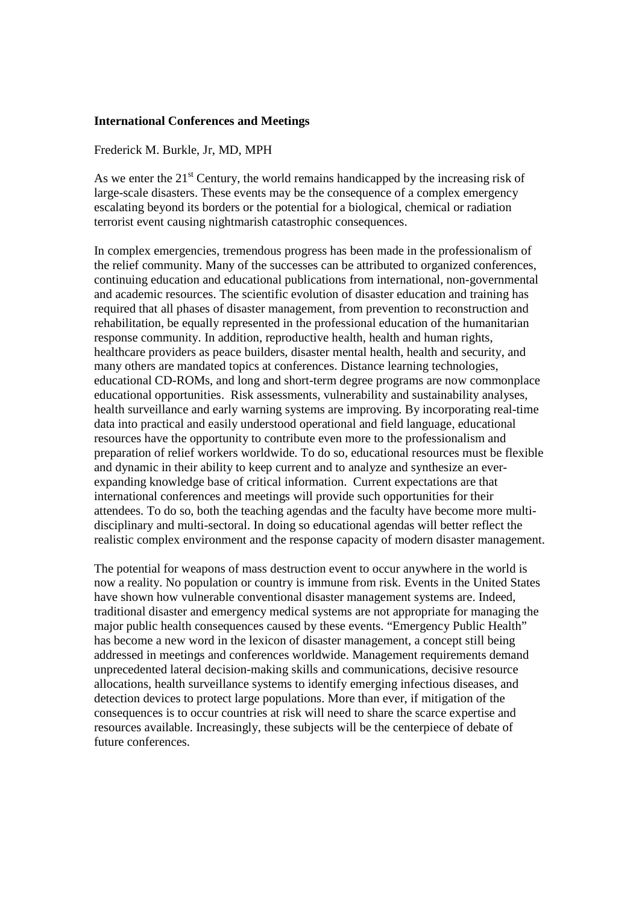## **International Conferences and Meetings**

## Frederick M. Burkle, Jr, MD, MPH

As we enter the  $21<sup>st</sup>$  Century, the world remains handicapped by the increasing risk of large-scale disasters. These events may be the consequence of a complex emergency escalating beyond its borders or the potential for a biological, chemical or radiation terrorist event causing nightmarish catastrophic consequences.

In complex emergencies, tremendous progress has been made in the professionalism of the relief community. Many of the successes can be attributed to organized conferences, continuing education and educational publications from international, non-governmental and academic resources. The scientific evolution of disaster education and training has required that all phases of disaster management, from prevention to reconstruction and rehabilitation, be equally represented in the professional education of the humanitarian response community. In addition, reproductive health, health and human rights, healthcare providers as peace builders, disaster mental health, health and security, and many others are mandated topics at conferences. Distance learning technologies, educational CD-ROMs, and long and short-term degree programs are now commonplace educational opportunities. Risk assessments, vulnerability and sustainability analyses, health surveillance and early warning systems are improving. By incorporating real-time data into practical and easily understood operational and field language, educational resources have the opportunity to contribute even more to the professionalism and preparation of relief workers worldwide. To do so, educational resources must be flexible and dynamic in their ability to keep current and to analyze and synthesize an everexpanding knowledge base of critical information. Current expectations are that international conferences and meetings will provide such opportunities for their attendees. To do so, both the teaching agendas and the faculty have become more multidisciplinary and multi-sectoral. In doing so educational agendas will better reflect the realistic complex environment and the response capacity of modern disaster management.

The potential for weapons of mass destruction event to occur anywhere in the world is now a reality. No population or country is immune from risk. Events in the United States have shown how vulnerable conventional disaster management systems are. Indeed, traditional disaster and emergency medical systems are not appropriate for managing the major public health consequences caused by these events. "Emergency Public Health" has become a new word in the lexicon of disaster management, a concept still being addressed in meetings and conferences worldwide. Management requirements demand unprecedented lateral decision-making skills and communications, decisive resource allocations, health surveillance systems to identify emerging infectious diseases, and detection devices to protect large populations. More than ever, if mitigation of the consequences is to occur countries at risk will need to share the scarce expertise and resources available. Increasingly, these subjects will be the centerpiece of debate of future conferences.